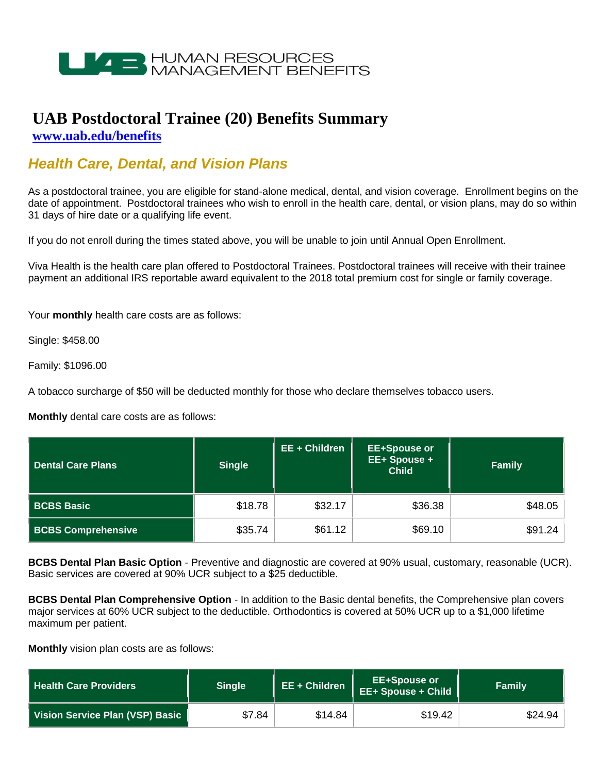

## **UAB Postdoctoral Trainee (20) Benefits Summary [www.uab.edu/benefits](http://www.uab.edu/benefits)**

## *Health Care, Dental, and Vision Plans*

As a postdoctoral trainee, you are eligible for stand-alone medical, dental, and vision coverage. Enrollment begins on the date of appointment. Postdoctoral trainees who wish to enroll in the health care, dental, or vision plans, may do so within 31 days of hire date or a qualifying life event.

If you do not enroll during the times stated above, you will be unable to join until Annual Open Enrollment.

Viva Health is the health care plan offered to Postdoctoral Trainees. Postdoctoral trainees will receive with their trainee payment an additional IRS reportable award equivalent to the 2018 total premium cost for single or family coverage.

Your **monthly** health care costs are as follows:

Single: \$458.00

Family: \$1096.00

A tobacco surcharge of \$50 will be deducted monthly for those who declare themselves tobacco users.

**Monthly** dental care costs are as follows:

| Dental Care Plans         | <b>Single</b> | EE + Children | <b>EE+Spouse or</b><br>EE+ Spouse +<br><b>Child</b> | <b>Family</b> |
|---------------------------|---------------|---------------|-----------------------------------------------------|---------------|
| <b>BCBS Basic</b>         | \$18.78       | \$32.17       | \$36.38                                             | \$48.05       |
| <b>BCBS Comprehensive</b> | \$35.74       | \$61.12       | \$69.10                                             | \$91.24       |

**BCBS Dental Plan Basic Option** - Preventive and diagnostic are covered at 90% usual, customary, reasonable (UCR). Basic services are covered at 90% UCR subject to a \$25 deductible.

**BCBS Dental Plan Comprehensive Option** - In addition to the Basic dental benefits, the Comprehensive plan covers major services at 60% UCR subject to the deductible. Orthodontics is covered at 50% UCR up to a \$1,000 lifetime maximum per patient.

**Monthly** vision plan costs are as follows:

| <b>Health Care Providers</b>    | Single | EE + Children | <b>EE+Spouse or</b><br>EE+ Spouse + Child | Family  |
|---------------------------------|--------|---------------|-------------------------------------------|---------|
| Vision Service Plan (VSP) Basic | \$7.84 | \$14.84       | \$19.42                                   | \$24.94 |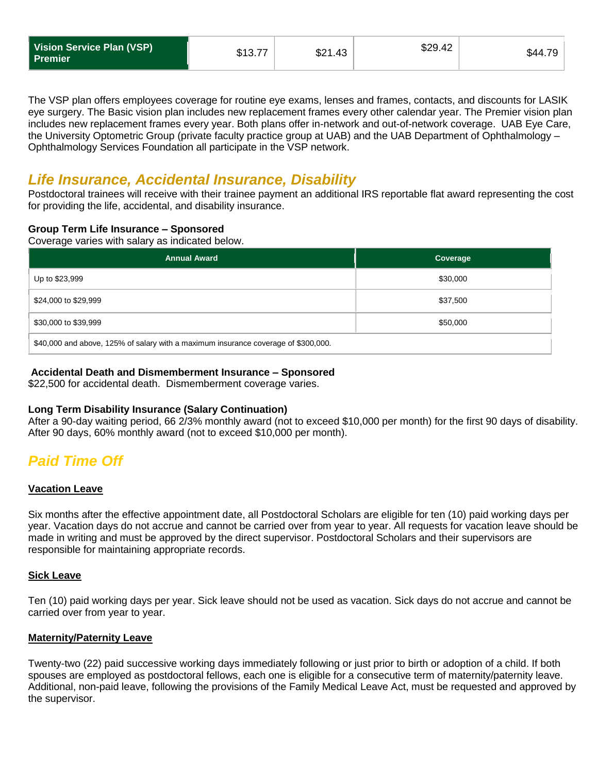| Vision Service Plan (VSP)<br><b>Premier</b> | \$13.77 | \$21.43 | \$29.42 | \$44.7 |
|---------------------------------------------|---------|---------|---------|--------|
|---------------------------------------------|---------|---------|---------|--------|

The VSP plan offers employees coverage for routine eye exams, lenses and frames, contacts, and discounts for LASIK eye surgery. The Basic vision plan includes new replacement frames every other calendar year. The Premier vision plan includes new replacement frames every year. Both plans offer in-network and out-of-network coverage. UAB Eye Care, the University Optometric Group (private faculty practice group at UAB) and the UAB Department of Ophthalmology – Ophthalmology Services Foundation all participate in the VSP network.

### *Life Insurance, Accidental Insurance, Disability*

Postdoctoral trainees will receive with their trainee payment an additional IRS reportable flat award representing the cost for providing the life, accidental, and disability insurance.

#### **Group Term Life Insurance – Sponsored**

Coverage varies with salary as indicated below.

| <b>Annual Award</b>                                                                | Coverage |  |  |
|------------------------------------------------------------------------------------|----------|--|--|
| Up to \$23,999                                                                     | \$30,000 |  |  |
| \$24,000 to \$29,999                                                               | \$37,500 |  |  |
| \$30,000 to \$39,999                                                               | \$50,000 |  |  |
| \$40,000 and above, 125% of salary with a maximum insurance coverage of \$300,000. |          |  |  |

### **Accidental Death and Dismemberment Insurance – Sponsored**

\$22,500 for accidental death. Dismemberment coverage varies.

#### **Long Term Disability Insurance (Salary Continuation)**

After a 90-day waiting period, 66 2/3% monthly award (not to exceed \$10,000 per month) for the first 90 days of disability. After 90 days, 60% monthly award (not to exceed \$10,000 per month).

# *Paid Time Off*

#### **Vacation Leave**

Six months after the effective appointment date, all Postdoctoral Scholars are eligible for ten (10) paid working days per year. Vacation days do not accrue and cannot be carried over from year to year. All requests for vacation leave should be made in writing and must be approved by the direct supervisor. Postdoctoral Scholars and their supervisors are responsible for maintaining appropriate records.

#### **Sick Leave**

Ten (10) paid working days per year. Sick leave should not be used as vacation. Sick days do not accrue and cannot be carried over from year to year.

#### **Maternity/Paternity Leave**

Twenty-two (22) paid successive working days immediately following or just prior to birth or adoption of a child. If both spouses are employed as postdoctoral fellows, each one is eligible for a consecutive term of maternity/paternity leave. Additional, non-paid leave, following the provisions of the Family Medical Leave Act, must be requested and approved by the supervisor.